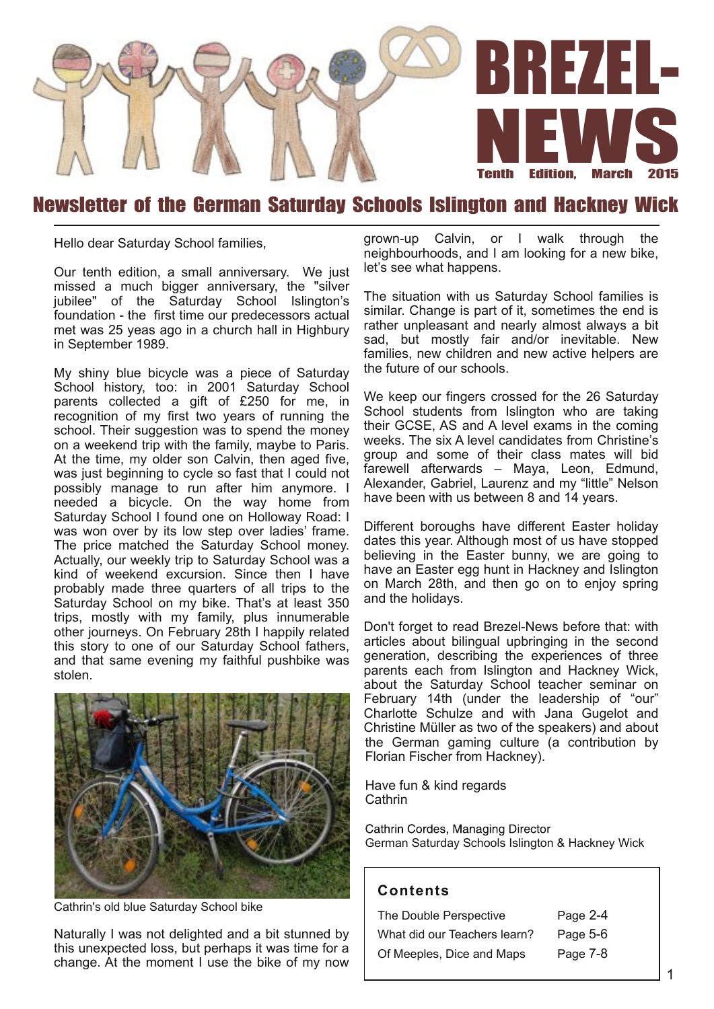

## Newsletter of the German Saturday Schools Islington and Hackney Wick

Hello dear Saturday School families,

Our tenth edition, a small anniversary. We just missed a much bigger anniversary, the "silver jubilee" of the Saturday School Islington's foundation - the first time our predecessors actual met was 25 yeas ago in a church hall in Highbury in September 1989.

My shiny blue bicycle was a piece of Saturday School history, too: in 2001 Saturday School parents collected a gift of £250 for me, in recognition of my first two years of running the school. Their suggestion was to spend the money on a weekend trip with the family, maybe to Paris. At the time, my older son Calvin, then aged five, was just beginning to cycle so fast that I could not possibly manage to run after him anymore. I needed a bicycle. On the way home from Saturday School I found one on Holloway Road: I was won over by its low step over ladies' frame. The price matched the Saturday School money. Actually, our weekly trip to Saturday School was a kind of weekend excursion. Since then I have probably made three quarters of all trips to the Saturday School on my bike. That's at least 350 trips, mostly with my family, plus innumerable other journeys. On February 28th I happily related this story to one of our Saturday School fathers, and that same evening my faithful pushbike was stolen.



Cathrin's old blue Saturday School bike

Naturally I was not delighted and a bit stunned by this unexpected loss, but perhaps it was time for a change. At the moment I use the bike of my now

grown-up Calvin, or I walk through the neighbourhoods, and I am looking for a new bike, let's see what happens.

The situation with us Saturday School families is similar. Change is part of it, sometimes the end is rather unpleasant and nearly almost always a bit sad, but mostly fair and/or inevitable. New families, new children and new active helpers are the future of our schools.

We keep our fingers crossed for the 26 Saturday School students from Islington who are taking their GCSE, AS and A level exams in the coming weeks. The six A level candidates from Christine's group and some of their class mates will bid farewell afterwards – Maya, Leon, Edmund, Alexander, Gabriel, Laurenz and my "little" Nelson have been with us between 8 and 14 years.

Different boroughs have different Easter holiday dates this year. Although most of us have stopped believing in the Easter bunny, we are going to have an Easter egg hunt in Hackney and Islington on March 28th, and then go on to enjoy spring and the holidays.

Don't forget to read Brezel-News before that: with articles about bilingual upbringing in the second generation, describing the experiences of three parents each from Islington and Hackney Wick, about the Saturday School teacher seminar on February 14th (under the leadership of "our" Charlotte Schulze and with Jana Gugelot and Christine Müller as two of the speakers) and about the German gaming culture (a contribution by Florian Fischer from Hackney).

Have fun & kind regards Cathrin

Cathrin Cordes, Managing Director German Saturday Schools Islington & Hackney Wick

#### **Con ten ts**

| The Double Perspective       | Page 2-4 |
|------------------------------|----------|
| What did our Teachers learn? | Page 5-6 |
| Of Meeples, Dice and Maps    | Page 7-8 |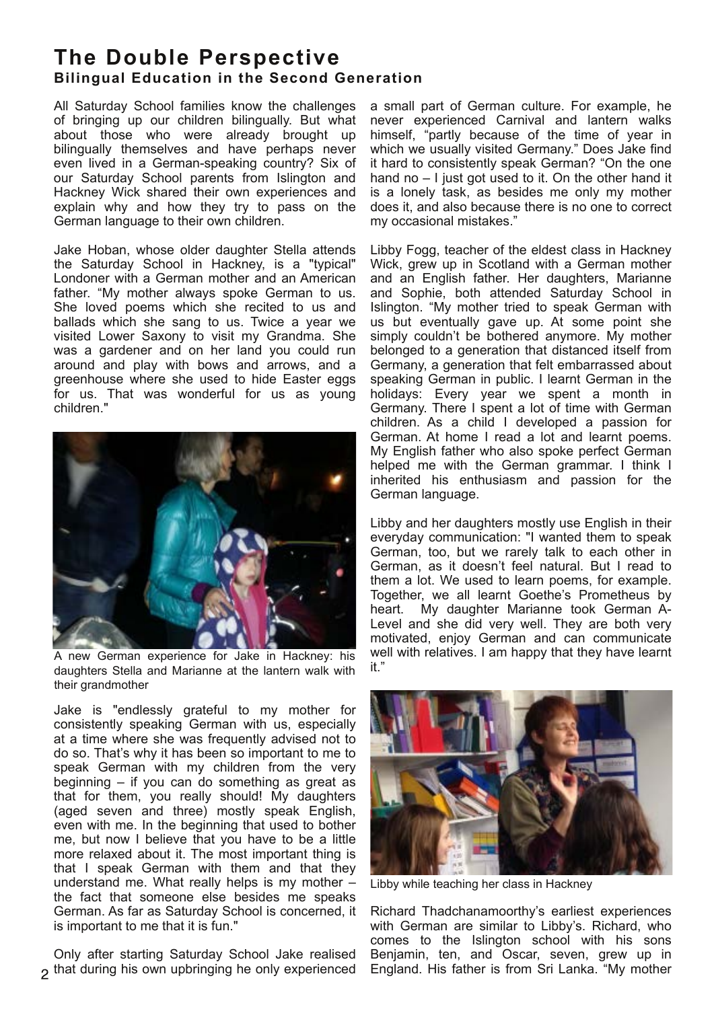### **The Double Perspective Bilingual Education in the Second Generation**

All Saturday School families know the challenges of bringing up our children bilingually. But what about those who were already brought up bilingually themselves and have perhaps never even lived in a German-speaking country? Six of our Saturday School parents from Islington and Hackney Wick shared their own experiences and explain why and how they try to pass on the German language to their own children.

Jake Hoban, whose older daughter Stella attends the Saturday School in Hackney, is a "typical" Londoner with a German mother and an American father. "My mother always spoke German to us. She loved poems which she recited to us and ballads which she sang to us. Twice a year we visited Lower Saxony to visit my Grandma. She was a gardener and on her land you could run around and play with bows and arrows, and a greenhouse where she used to hide Easter eggs for us. That was wonderful for us as young children."



A new German experience for Jake in Hackney: his daughters Stella and Marianne at the lantern walk with their grandmother

Jake is "endlessly grateful to my mother for consistently speaking German with us, especially at a time where she was frequently advised not to do so. That's why it has been so important to me to speak German with my children from the very beginning – if you can do something as great as that for them, you really should! My daughters (aged seven and three) mostly speak English, even with me. In the beginning that used to bother me, but now I believe that you have to be a little more relaxed about it. The most important thing is that I speak German with them and that they understand me. What really helps is my mother – the fact that someone else besides me speaks German. As far as Saturday School is concerned, it is important to me that it is fun."

Only after starting Saturday School Jake realised that during his own upbringing he only experienced a small part of German culture. For example, he never experienced Carnival and lantern walks himself, "partly because of the time of year in which we usually visited Germany." Does Jake find it hard to consistently speak German? "On the one hand no – I just got used to it. On the other hand it is a lonely task, as besides me only my mother does it, and also because there is no one to correct my occasional mistakes."

Libby Fogg, teacher of the eldest class in Hackney Wick, grew up in Scotland with a German mother and an English father. Her daughters, Marianne and Sophie, both attended Saturday School in Islington. "My mother tried to speak German with us but eventually gave up. At some point she simply couldn't be bothered anymore. My mother belonged to a generation that distanced itself from Germany, a generation that felt embarrassed about speaking German in public. I learnt German in the holidays: Every year we spent a month in Germany. There I spent a lot of time with German children. As a child I developed a passion for German. At home I read a lot and learnt poems. My English father who also spoke perfect German helped me with the German grammar. I think I inherited his enthusiasm and passion for the German language.

Libby and her daughters mostly use English in their everyday communication: "I wanted them to speak German, too, but we rarely talk to each other in German, as it doesn't feel natural. But I read to them a lot. We used to learn poems, for example. Together, we all learnt Goethe's Prometheus by heart. My daughter Marianne took German A-Level and she did very well. They are both very motivated, enjoy German and can communicate well with relatives. I am happy that they have learnt it."



Libby while teaching her class in Hackney

Richard Thadchanamoorthy's earliest experiences with German are similar to Libby's. Richard, who comes to the Islington school with his sons Benjamin, ten, and Oscar, seven, grew up in England. His father is from Sri Lanka. "My mother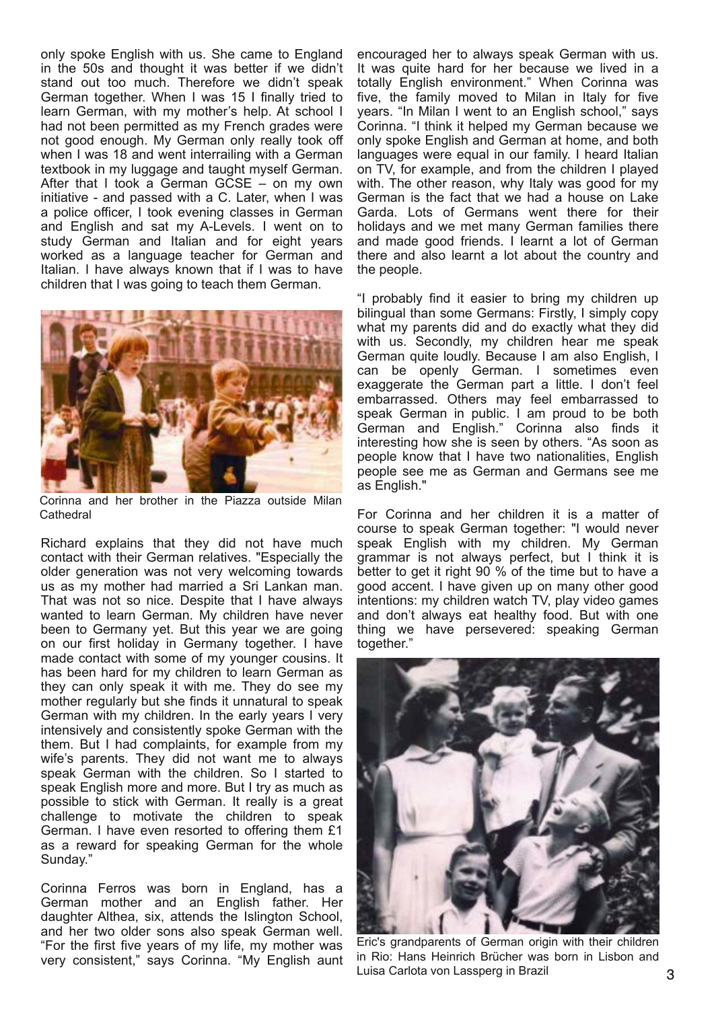only spoke English with us. She came to England in the 50s and thought it was better if we didn't stand out too much. Therefore we didn't speak German together. When I was 15 I finally tried to learn German, with my mother's help. At school I had not been permitted as my French grades were not good enough. My German only really took off when I was 18 and went interrailing with a German textbook in my luggage and taught myself German. After that I took a German GCSE – on my own initiative - and passed with a C. Later, when I was a police officer, I took evening classes in German and English and sat my A-Levels. I went on to study German and Italian and for eight years worked as a language teacher for German and Italian. I have always known that if I was to have children that I was going to teach them German.



Corinna and her brother in the Piazza outside Milan **Cathedral** 

Richard explains that they did not have much contact with their German relatives. "Especially the older generation was not very welcoming towards us as my mother had married a Sri Lankan man. That was not so nice. Despite that I have always wanted to learn German. My children have never been to Germany yet. But this year we are going on our first holiday in Germany together. I have made contact with some of my younger cousins. It has been hard for my children to learn German as they can only speak it with me. They do see my mother regularly but she finds it unnatural to speak German with my children. In the early years I very intensively and consistently spoke German with the them. But I had complaints, for example from my wife's parents. They did not want me to always speak German with the children. So I started to speak English more and more. But I try as much as possible to stick with German. It really is a great challenge to motivate the children to speak German. I have even resorted to offering them £1 as a reward for speaking German for the whole Sunday."

Corinna Ferros was born in England, has a German mother and an English father. Her daughter Althea, six, attends the Islington School, and her two older sons also speak German well. "For the first five years of my life, my mother was very consistent," says Corinna. "My English aunt

encouraged her to always speak German with us. It was quite hard for her because we lived in a totally English environment." When Corinna was five, the family moved to Milan in Italy for five years. "In Milan I went to an English school," says Corinna. "I think it helped my German because we only spoke English and German at home, and both languages were equal in our family. I heard Italian on TV, for example, and from the children I played with. The other reason, why Italy was good for my German is the fact that we had a house on Lake Garda. Lots of Germans went there for their holidays and we met many German families there and made good friends. I learnt a lot of German there and also learnt a lot about the country and the people.

"I probably find it easier to bring my children up bilingual than some Germans: Firstly, I simply copy what my parents did and do exactly what they did with us. Secondly, my children hear me speak German quite loudly. Because I am also English, I can be openly German. I sometimes even exaggerate the German part a little. I don't feel embarrassed. Others may feel embarrassed to speak German in public. I am proud to be both German and English." Corinna also finds it interesting how she is seen by others. "As soon as people know that I have two nationalities, English people see me as German and Germans see me as English."

For Corinna and her children it is a matter of course to speak German together: "I would never speak English with my children. My German grammar is not always perfect, but I think it is better to get it right 90 % of the time but to have a good accent. I have given up on many other good intentions: my children watch TV, play video games and don't always eat healthy food. But with one thing we have persevered: speaking German together."



Eric's grandparents of German origin with their children in Rio: Hans Heinrich Brücher was born in Lisbon and Luisa Carlota von Lassperg in Brazil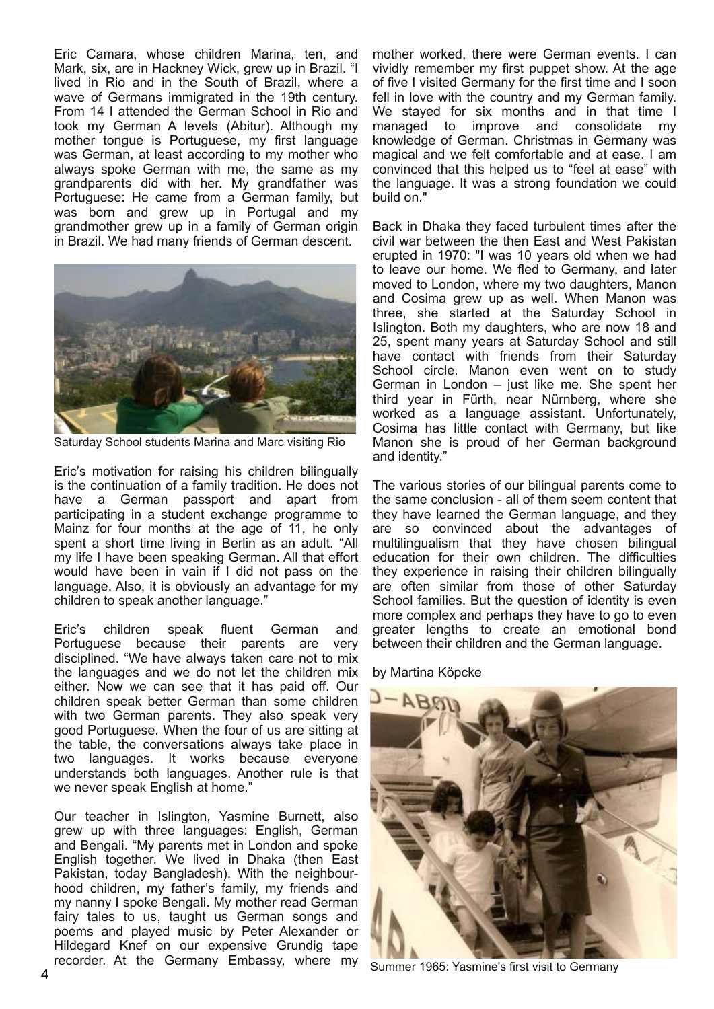Eric Camara, whose children Marina, ten, and Mark, six, are in Hackney Wick, grew up in Brazil. "I lived in Rio and in the South of Brazil, where a wave of Germans immigrated in the 19th century. From 14 I attended the German School in Rio and took my German A levels (Abitur). Although my mother tongue is Portuguese, my first language was German, at least according to my mother who always spoke German with me, the same as my grandparents did with her. My grandfather was Portuguese: He came from a German family, but was born and grew up in Portugal and my grandmother grew up in a family of German origin in Brazil. We had many friends of German descent.



Saturday School students Marina and Marc visiting Rio

Eric's motivation for raising his children bilingually is the continuation of a family tradition. He does not have a German passport and apart from participating in a student exchange programme to Mainz for four months at the age of 11, he only spent a short time living in Berlin as an adult. "All my life I have been speaking German. All that effort would have been in vain if I did not pass on the language. Also, it is obviously an advantage for my children to speak another language."

Eric's children speak fluent German and Portuguese because their parents are very disciplined. "We have always taken care not to mix the languages and we do not let the children mix either. Now we can see that it has paid off. Our children speak better German than some children with two German parents. They also speak very good Portuguese. When the four of us are sitting at the table, the conversations always take place in two languages. It works because everyone understands both languages. Another rule is that we never speak English at home."

Our teacher in Islington, Yasmine Burnett, also grew up with three languages: English, German and Bengali. "My parents met in London and spoke English together. We lived in Dhaka (then East Pakistan, today Bangladesh). With the neighbourhood children, my father's family, my friends and my nanny I spoke Bengali. My mother read German fairy tales to us, taught us German songs and poems and played music by Peter Alexander or Hildegard Knef on our expensive Grundig tape recorder. At the Germany Embassy, where my mother worked, there were German events. I can vividly remember my first puppet show. At the age of five I visited Germany for the first time and I soon fell in love with the country and my German family. We stayed for six months and in that time I managed to improve and consolidate my knowledge of German. Christmas in Germany was magical and we felt comfortable and at ease. I am convinced that this helped us to "feel at ease" with the language. It was a strong foundation we could build on."

Back in Dhaka they faced turbulent times after the civil war between the then East and West Pakistan erupted in 1970: "I was 10 years old when we had to leave our home. We fled to Germany, and later moved to London, where my two daughters, Manon and Cosima grew up as well. When Manon was three, she started at the Saturday School in Islington. Both my daughters, who are now 18 and 25, spent many years at Saturday School and still have contact with friends from their Saturday School circle. Manon even went on to study German in London – just like me. She spent her third year in Fürth, near Nürnberg, where she worked as a language assistant. Unfortunately, Cosima has little contact with Germany, but like Manon she is proud of her German background and identity."

The various stories of our bilingual parents come to the same conclusion - all of them seem content that they have learned the German language, and they are so convinced about the advantages of multilingualism that they have chosen bilingual education for their own children. The difficulties they experience in raising their children bilingually are often similar from those of other Saturday School families. But the question of identity is even more complex and perhaps they have to go to even greater lengths to create an emotional bond between their children and the German language.

#### by Martina Köpcke



Summer 1965: Yasmine's first visit to Germany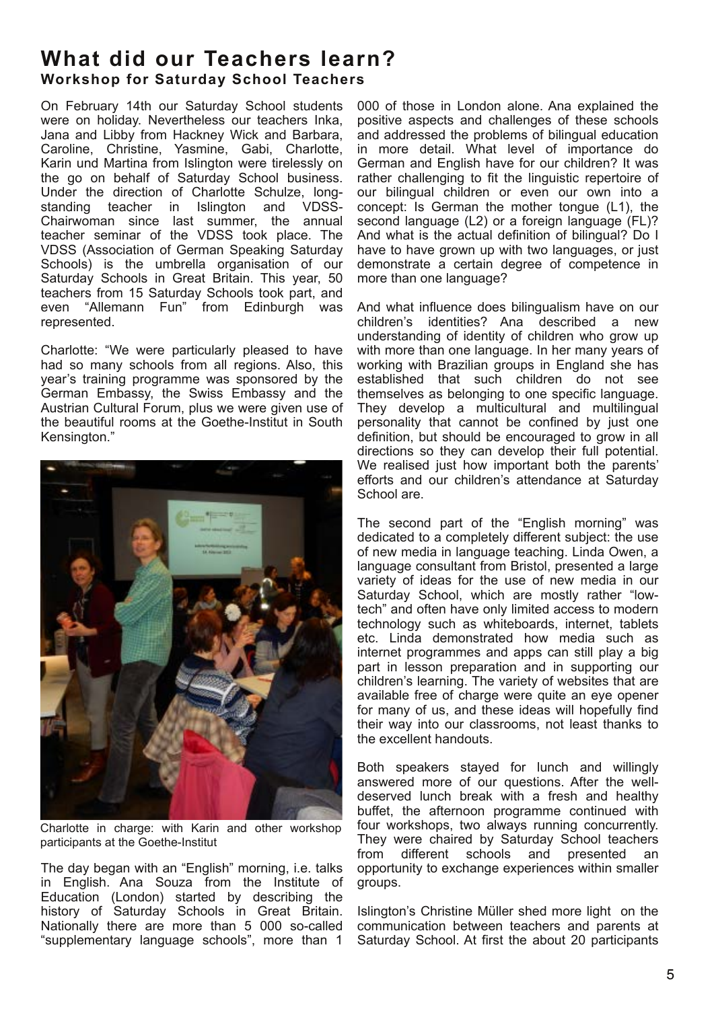### **What did our Teachers learn? Workshop for Saturday School Teachers**

On February 14th our Saturday School students were on holiday. Nevertheless our teachers Inka, Jana and Libby from Hackney Wick and Barbara, Caroline, Christine, Yasmine, Gabi, Charlotte, Karin und Martina from Islington were tirelessly on the go on behalf of Saturday School business. Under the direction of Charlotte Schulze, longstanding teacher in Islington and VDSS-Chairwoman since last summer, the annual teacher seminar of the VDSS took place. The VDSS (Association of German Speaking Saturday Schools) is the umbrella organisation of our Saturday Schools in Great Britain. This year, 50 teachers from 15 Saturday Schools took part, and even "Allemann Fun" from Edinburgh was represented.

Charlotte: "We were particularly pleased to have had so many schools from all regions. Also, this year's training programme was sponsored by the German Embassy, the Swiss Embassy and the Austrian Cultural Forum, plus we were given use of the beautiful rooms at the Goethe-Institut in South Kensington."



Charlotte in charge: with Karin and other workshop participants at the Goethe-Institut

The day began with an "English" morning, i.e. talks in English. Ana Souza from the Institute of Education (London) started by describing the history of Saturday Schools in Great Britain. Nationally there are more than 5 000 so-called "supplementary language schools", more than 1

000 of those in London alone. Ana explained the positive aspects and challenges of these schools and addressed the problems of bilingual education in more detail. What level of importance do German and English have for our children? It was rather challenging to fit the linguistic repertoire of our bilingual children or even our own into a concept: Is German the mother tongue (L1), the second language (L2) or a foreign language (FL)? And what is the actual definition of bilingual? Do I have to have grown up with two languages, or just demonstrate a certain degree of competence in more than one language?

And what influence does bilingualism have on our children's identities? Ana described a new understanding of identity of children who grow up with more than one language. In her many years of working with Brazilian groups in England she has established that such children do not see themselves as belonging to one specific language. They develop a multicultural and multilingual personality that cannot be confined by just one definition, but should be encouraged to grow in all directions so they can develop their full potential. We realised just how important both the parents' efforts and our children's attendance at Saturday School are.

The second part of the "English morning" was dedicated to a completely different subject: the use of new media in language teaching. Linda Owen, a language consultant from Bristol, presented a large variety of ideas for the use of new media in our Saturday School, which are mostly rather "lowtech" and often have only limited access to modern technology such as whiteboards, internet, tablets etc. Linda demonstrated how media such as internet programmes and apps can still play a big part in lesson preparation and in supporting our children's learning. The variety of websites that are available free of charge were quite an eye opener for many of us, and these ideas will hopefully find their way into our classrooms, not least thanks to the excellent handouts.

Both speakers stayed for lunch and willingly answered more of our questions. After the welldeserved lunch break with a fresh and healthy buffet, the afternoon programme continued with four workshops, two always running concurrently. They were chaired by Saturday School teachers from different schools and presented an opportunity to exchange experiences within smaller groups.

Islington's Christine Müller shed more light on the communication between teachers and parents at Saturday School. At first the about 20 participants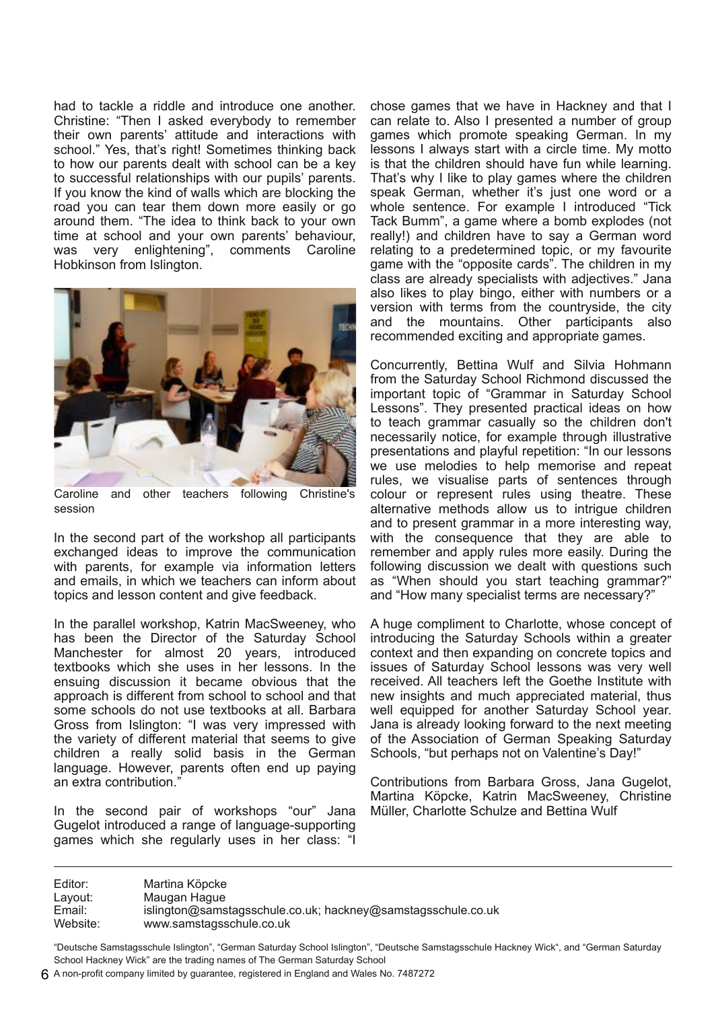had to tackle a riddle and introduce one another. Christine: "Then I asked everybody to remember their own parents' attitude and interactions with school." Yes, that's right! Sometimes thinking back to how our parents dealt with school can be a key to successful relationships with our pupils' parents. If you know the kind of walls which are blocking the road you can tear them down more easily or go around them. "The idea to think back to your own time at school and your own parents' behaviour, was very enlightening", comments Caroline Hobkinson from Islington.



Caroline and other teachers following Christine's session

In the second part of the workshop all participants exchanged ideas to improve the communication with parents, for example via information letters and emails, in which we teachers can inform about topics and lesson content and give feedback.

In the parallel workshop, Katrin MacSweeney, who has been the Director of the Saturday School Manchester for almost 20 years, introduced textbooks which she uses in her lessons. In the ensuing discussion it became obvious that the approach is different from school to school and that some schools do not use textbooks at all. Barbara Gross from Islington: "I was very impressed with the variety of different material that seems to give children a really solid basis in the German language. However, parents often end up paying an extra contribution."

In the second pair of workshops "our" Jana Gugelot introduced a range of language-supporting games which she regularly uses in her class: "I chose games that we have in Hackney and that I can relate to. Also I presented a number of group games which promote speaking German. In my lessons I always start with a circle time. My motto is that the children should have fun while learning. That's why I like to play games where the children speak German, whether it's just one word or a whole sentence. For example I introduced "Tick Tack Bumm", a game where a bomb explodes (not really!) and children have to say a German word relating to a predetermined topic, or my favourite game with the "opposite cards". The children in my class are already specialists with adjectives." Jana also likes to play bingo, either with numbers or a version with terms from the countryside, the city and the mountains. Other participants also recommended exciting and appropriate games.

Concurrently, Bettina Wulf and Silvia Hohmann from the Saturday School Richmond discussed the important topic of "Grammar in Saturday School Lessons". They presented practical ideas on how to teach grammar casually so the children don't necessarily notice, for example through illustrative presentations and playful repetition: "In our lessons we use melodies to help memorise and repeat rules, we visualise parts of sentences through colour or represent rules using theatre. These alternative methods allow us to intrigue children and to present grammar in a more interesting way, with the consequence that they are able to remember and apply rules more easily. During the following discussion we dealt with questions such as "When should you start teaching grammar?" and "How many specialist terms are necessary?"

A huge compliment to Charlotte, whose concept of introducing the Saturday Schools within a greater context and then expanding on concrete topics and issues of Saturday School lessons was very well received. All teachers left the Goethe Institute with new insights and much appreciated material, thus well equipped for another Saturday School year. Jana is already looking forward to the next meeting of the Association of German Speaking Saturday Schools, "but perhaps not on Valentine's Day!"

Contributions from Barbara Gross, Jana Gugelot, Martina Köpcke, Katrin MacSweeney, Christine Müller, Charlotte Schulze and Bettina Wulf

Editor: Martina Köpcke Layout: Maugan Hague Email: islington@samstagsschule.co.uk; hackney@samstagsschule.co.uk Website: www.samstagsschule.co.uk

"Deutsche Samstagsschule Islington", "German Saturday School Islington", "Deutsche Samstagsschule Hackney Wick", and "German Saturday School Hackney Wick" are the trading names of The German Saturday School

A non-profit company limited by guarantee, registered in England and Wales No. 7487272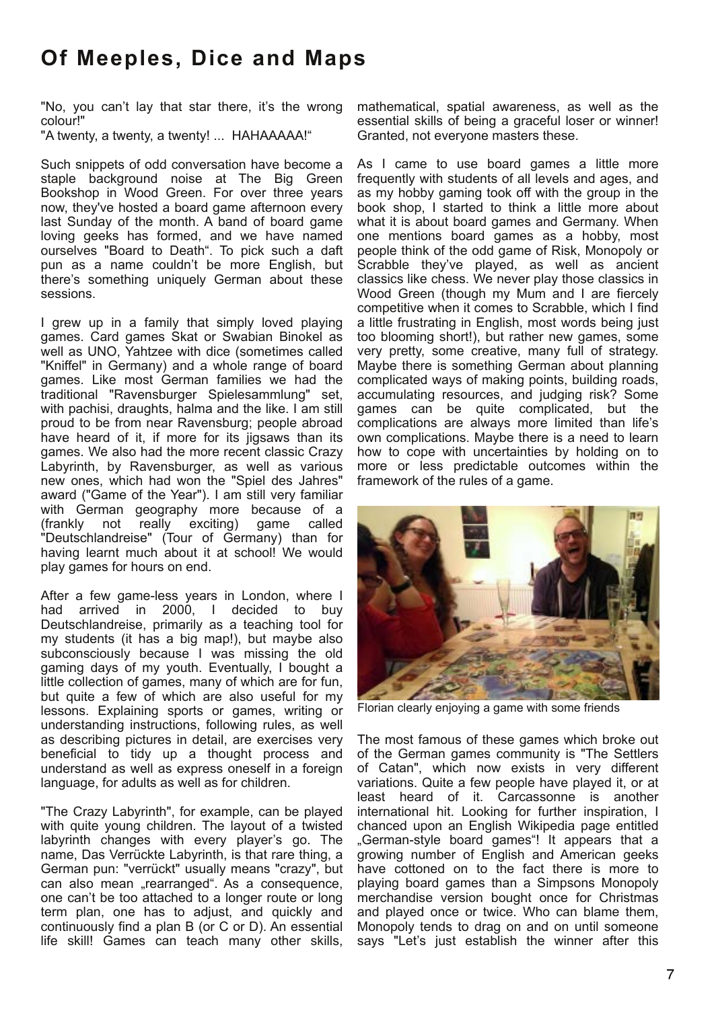# **Of Meeples, Dice and Maps**

"No, you can't lay that star there, it's the wrong colour!"

"A twenty, a twenty, a twenty! ... HAHAAAAA!"

Such snippets of odd conversation have become a staple background noise at The Big Green Bookshop in Wood Green. For over three years now, they've hosted a board game afternoon every last Sunday of the month. A band of board game loving geeks has formed, and we have named ourselves "Board to Death". To pick such a daft pun as a name couldn't be more English, but there's something uniquely German about these sessions.

I grew up in a family that simply loved playing games. Card games Skat or Swabian Binokel as well as UNO, Yahtzee with dice (sometimes called "Kniffel" in Germany) and a whole range of board games. Like most German families we had the traditional "Ravensburger Spielesammlung" set, with pachisi, draughts, halma and the like. I am still proud to be from near Ravensburg; people abroad have heard of it, if more for its jigsaws than its games. We also had the more recent classic Crazy Labyrinth, by Ravensburger, as well as various new ones, which had won the "Spiel des Jahres" award ("Game of the Year"). I am still very familiar with German geography more because of a (frankly not really exciting) game called "Deutschlandreise" (Tour of Germany) than for having learnt much about it at school! We would play games for hours on end.

After a few game-less years in London, where I had arrived in 2000, I decided to buy Deutschlandreise, primarily as a teaching tool for my students (it has a big map!), but maybe also subconsciously because I was missing the old gaming days of my youth. Eventually, I bought a little collection of games, many of which are for fun, but quite a few of which are also useful for my lessons. Explaining sports or games, writing or understanding instructions, following rules, as well as describing pictures in detail, are exercises very beneficial to tidy up a thought process and understand as well as express oneself in a foreign language, for adults as well as for children.

"The Crazy Labyrinth", for example, can be played with quite young children. The layout of a twisted labyrinth changes with every player's go. The name, Das Verrückte Labyrinth, is that rare thing, a German pun: "verrückt" usually means "crazy", but can also mean "rearranged". As a consequence, one can't be too attached to a longer route or long term plan, one has to adjust, and quickly and continuously find a plan B (or C or D). An essential life skill! Games can teach many other skills,

mathematical, spatial awareness, as well as the essential skills of being a graceful loser or winner! Granted, not everyone masters these.

As I came to use board games a little more frequently with students of all levels and ages, and as my hobby gaming took off with the group in the book shop, I started to think a little more about what it is about board games and Germany. When one mentions board games as a hobby, most people think of the odd game of Risk, Monopoly or Scrabble they've played, as well as ancient classics like chess. We never play those classics in Wood Green (though my Mum and I are fiercely competitive when it comes to Scrabble, which I find a little frustrating in English, most words being just too blooming short!), but rather new games, some very pretty, some creative, many full of strategy. Maybe there is something German about planning complicated ways of making points, building roads, accumulating resources, and judging risk? Some games can be quite complicated, but the complications are always more limited than life's own complications. Maybe there is a need to learn how to cope with uncertainties by holding on to more or less predictable outcomes within the framework of the rules of a game.



Florian clearly enjoying a game with some friends

The most famous of these games which broke out of the German games community is "The Settlers of Catan", which now exists in very different variations. Quite a few people have played it, or at least heard of it. Carcassonne is another international hit. Looking for further inspiration, I chanced upon an English Wikipedia page entitled "German-style board games"! It appears that a growing number of English and American geeks have cottoned on to the fact there is more to playing board games than a Simpsons Monopoly merchandise version bought once for Christmas and played once or twice. Who can blame them, Monopoly tends to drag on and on until someone says "Let's just establish the winner after this